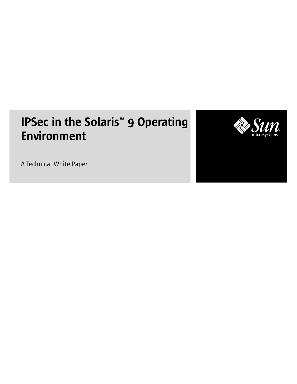# IPSec in the Solaris<sup>™</sup> 9 Operating Environment



A Technical White Paper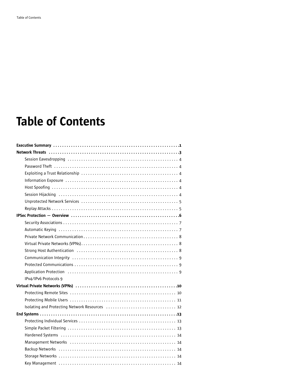# Table of Contents

| IPv4/IPv6 Protocols 9 |
|-----------------------|
|                       |
|                       |
|                       |
|                       |
|                       |
|                       |
|                       |
|                       |
|                       |
|                       |
|                       |
|                       |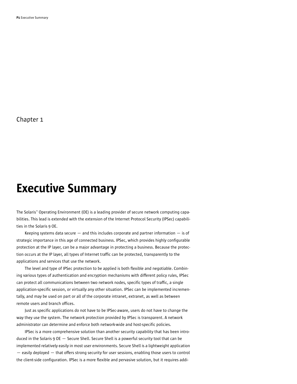## Executive Summary

The Solaris™ Operating Environment (OE) is a leading provider of secure network computing capabilities. This lead is extended with the extension of the Internet Protocol Security (IPSec) capabilities in the Solaris 9 OE.

Keeping systems data secure  $-$  and this includes corporate and partner information  $-$  is of strategic importance in this age of connected business. IPSec, which provides highly configurable protection at the IP layer, can be a major advantage in protecting a business. Because the protection occurs at the IP layer, all types of Internet traffic can be protected, transparently to the applications and services that use the network.

The level and type of IPSec protection to be applied is both flexible and negotiable. Combining various types of authentication and encryption mechanisms with different policy rules, IPSec can protect all communications between two network nodes, specific types of traffic, a single application-specific session, or virtually any other situation. IPSec can be implemented incrementally, and may be used on part or all of the corporate intranet, extranet, as well as between remote users and branch offices.

Just as specific applications do not have to be IPSec-aware, users do not have to change the way they use the system. The network protection provided by IPSec is transparent. A network administrator can determine and enforce both network-wide and host-specific policies.

IPSec is a more comprehensive solution than another security capability that has been introduced in the Solaris 9 OE — Secure Shell. Secure Shell is a powerful security tool that can be implemented relatively easily in most user environments. Secure Shell is a lightweight application — easily deployed — that offers strong security for user sessions, enabling those users to control the client-side configuration. IPSec is a more flexible and pervasive solution, but it requires addi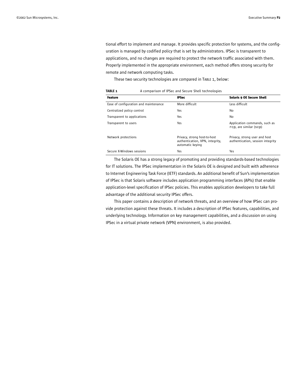tional effort to implement and manage. It provides specific protection for systems, and the configuration is managed by codified policy that is set by administrators. IPSec is transparent to applications, and no changes are required to protect the network traffic associated with them. Properly implemented in the appropriate environment, each method offers strong security for remote and network computing tasks.

These two security technologies are compared in TABLE 1, below:

TABLE 1 A comparison of IPSec and Secure Shell technologies

| <b>Feature</b>                        | <b>IPSec</b>                                                                        | <b>Solaris 9 OE Secure Shell</b>                                   |
|---------------------------------------|-------------------------------------------------------------------------------------|--------------------------------------------------------------------|
| Ease of configuration and maintenance | More difficult                                                                      | Less difficult                                                     |
| Centralized policy control            | Yes                                                                                 | No                                                                 |
| Transparent to applications           | Yes                                                                                 | No                                                                 |
| Transparent to users                  | Yes                                                                                 | Application commands, such as<br>$rcp$ , are similar (scp)         |
| Network protections                   | Privacy, strong host-to-host<br>authentication, VPN, integrity,<br>automatic keying | Privacy, strong user and host<br>authentication, session integrity |
| Secure X-Windows sessions             | Yes                                                                                 | Yes                                                                |

The Solaris OE has a strong legacy of promoting and providing standards-based technologies for IT solutions. The IPSec implementation in the Solaris OE is designed and built with adherence to Internet Engineering Task Force (IETF) standards. An additional benefit of Sun's implementation of IPSec is that Solaris software includes application programming interfaces (APIs) that enable application-level specification of IPSec policies. This enables application developers to take full advantage of the additional security IPSec offers.

This paper contains a description of network threats, and an overview of how IPSec can provide protection against these threats. It includes a description of IPSec features, capabilities, and underlying technology. Information on key management capabilities, and a discussion on using IPSec in a virtual private network (VPN) environment, is also provided.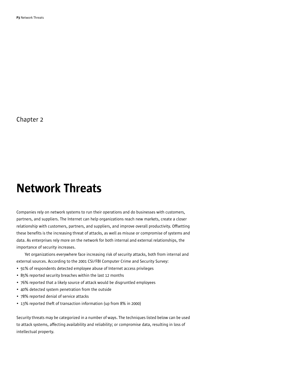# Network Threats

Companies rely on network systems to run their operations and do businesses with customers, partners, and suppliers. The Internet can help organizations reach new markets, create a closer relationship with customers, partners, and suppliers, and improve overall productivity. Offsetting these benefits is the increasing threat of attacks, as well as misuse or compromise of systems and data. As enterprises rely more on the network for both internal and external relationships, the importance of security increases.

Yet organizations everywhere face increasing risk of security attacks, both from internal and external sources. According to the 2001 CSI/FBI Computer Crime and Security Survey:

- 91% of respondents detected employee abuse of Internet access privileges
- 85% reported security breaches within the last 12 months
- 76% reported that a likely source of attack would be disgruntled employees
- 40% detected system penetration from the outside
- 78% reported denial of service attacks
- 13% reported theft of transaction information (up from 8% in 2000)

Security threats may be categorized in a number of ways. The techniques listed below can be used to attack systems, affecting availability and reliability; or compromise data, resulting in loss of intellectual property.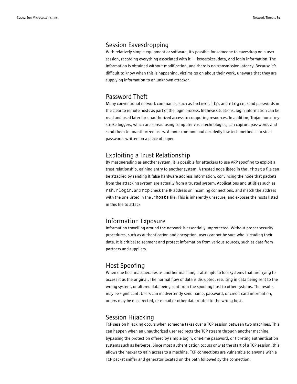## Session Eavesdropping

With relatively simple equipment or software, it's possible for someone to eavesdrop on a user session, recording everything associated with it — keystrokes, data, and login information. The information is obtained without modification, and there is no transmission latency. Because it's difficult to know when this is happening, victims go on about their work, unaware that they are supplying information to an unknown attacker.

## Password Theft

Many conventional network commands, such as telnet, ftp, and rlogin, send passwords in the clear to remote hosts as part of the login process. In these situations, login information can be read and used later for unauthorized access to computing resources. In addition, Trojan horse keystroke loggers, which are spread using computer virus technologies, can capture passwords and send them to unauthorized users. A more common and decidedly low-tech method is to steal passwords written on a piece of paper.

## Exploiting a Trust Relationship

By masquerading as another system, it is possible for attackers to use ARP spoofing to exploit a trust relationship, gaining entry to another system. A trusted node listed in the .rhosts file can be attacked by sending it false hardware address information, convincing the node that packets from the attacking system are actually from a trusted system. Applications and utilities such as rsh, rlogin, and rcp check the IP address on incoming connections, and match the address with the one listed in the .rhosts file. This is inherently unsecure, and exposes the hosts listed in this file to attack.

## Information Exposure

Information travelling around the network is essentially unprotected. Without proper security procedures, such as authentication and encryption, users cannot be sure who is reading their data. It is critical to segment and protect information from various sources, such as data from partners and suppliers.

## Host Spoofing

When one host masquerades as another machine, it attempts to fool systems that are trying to access it as the original. The normal flow of data is disrupted, resulting in data being sent to the wrong system, or altered data being sent from the spoofing host to other systems. The results may be significant. Users can inadvertently send name, password, or credit card information, orders may be misdirected, or e-mail or other data routed to the wrong host.

## Session Hijacking

TCP session hijacking occurs when someone takes over a TCP session between two machines. This can happen when an unauthorized user redirects the TCP stream through another machine, bypassing the protection offered by simple login, one-time password, or ticketing authentication systems such as Kerberos. Since most authentication occurs only at the start of a TCP session, this allows the hacker to gain access to a machine. TCP connections are vulnerable to anyone with a TCP packet sniffer and generator located on the path followed by the connection.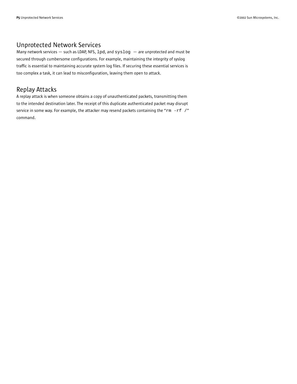## Unprotected Network Services

Many network services  $-$  such as LDAP, NFS, 1pd, and  $syslog -$  are unprotected and must be secured through cumbersome configurations. For example, maintaining the integrity of syslog traffic is essential to maintaining accurate system log files. If securing these essential services is too complex a task, it can lead to misconfiguration, leaving them open to attack.

## Replay Attacks

A replay attack is when someone obtains a copy of unauthenticated packets, transmitting them to the intended destination later. The receipt of this duplicate authenticated packet may disrupt service in some way. For example, the attacker may resend packets containing the " $rm -rf /$ " command.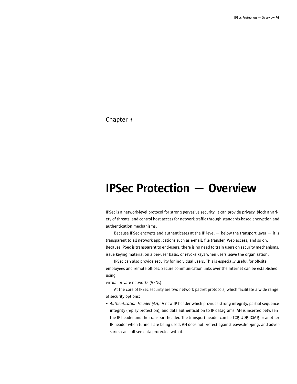## IPSec Protection — Overview

IPSec is a network-level protocol for strong pervasive security. It can provide privacy, block a variety of threats, and control host access for network traffic through standards-based encryption and authentication mechanisms.

Because IPSec encrypts and authenticates at the IP level  $-$  below the transport layer  $-$  it is transparent to all network applications such as e-mail, file transfer, Web access, and so on. Because IPSec is transparent to end-users, there is no need to train users on security mechanisms, issue keying material on a per-user basis, or revoke keys when users leave the organization.

IPSec can also provide security for individual users. This is especially useful for off-site employees and remote offices. Secure communication links over the Internet can be established using

virtual private networks (VPNs).

At the core of IPSec security are two network packet protocols, which facilitate a wide range of security options:

• *Authentication Header (AH):* A new IP header which provides strong integrity, partial sequence integrity (replay protection), and data authentication to IP datagrams. AH is inserted between the IP header and the transport header. The transport header can be TCP, UDP, ICMP, or another IP header when tunnels are being used. AH does not protect against eavesdropping, and adversaries can still see data protected with it.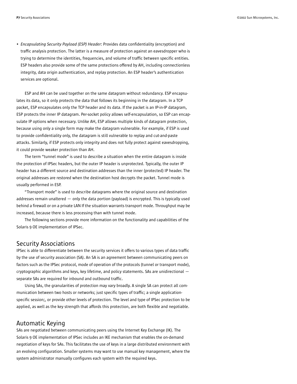• *Encapsulating Security Payload (ESP) Header:* Provides data confidentiality (encryption) and traffic analysis protection. The latter is a measure of protection against an eavesdropper who is trying to determine the identities, frequencies, and volume of traffic between specific entities. ESP headers also provide some of the same protections offered by AH, including connectionless integrity, data origin authentication, and replay protection. An ESP header's authentication services are optional.

ESP and AH can be used together on the same datagram without redundancy. ESP encapsulates its data, so it only protects the data that follows its beginning in the datagram. In a TCP packet, ESP encapsulates only the TCP header and its data. If the packet is an IP-in-IP datagram, ESP protects the inner IP datagram. Per-socket policy allows self-encapsulation, so ESP can encapsulate IP options when necessary. Unlike AH, ESP allows multiple kinds of datagram protection, because using only a single form may make the datagram vulnerable. For example, if ESP is used to provide confidentiality only, the datagram is still vulnerable to replay and cut-and-paste attacks. Similarly, if ESP protects only integrity and does not fully protect against eavesdropping, it could provide weaker protection than AH.

The term "tunnel mode" is used to describe a situation when the entire datagram is inside the protection of IPSec headers, but the outer IP header is unprotected. Typically, the outer IP header has a different source and destination addresses than the inner (protected) IP header. The original addresses are restored when the destination host decrypts the packet. Tunnel mode is usually performed in ESP.

"Transport mode" is used to describe datagrams where the original source and destination addresses remain unaltered  $-$  only the data portion (payload) is encrypted. This is typically used behind a firewall or on a private LAN If the situation warrants transport mode. Throughput may be increased, because there is less processing than with tunnel mode.

The following sections provide more information on the functionality and capabilities of the Solaris 9 OE implementation of IPSec.

## Security Associations

IPSec is able to differentiate between the security services it offers to various types of data traffic by the use of security association (SA). An SA is an agreement between communicating peers on factors such as the IPSec protocol, mode of operation of the protocols (tunnel or transport mode), cryptographic algorithms and keys, key lifetime, and policy statements. SAs are unidirectional separate SAs are required for inbound and outbound traffic.

Using SAs, the granularities of protection may vary broadly. A single SA can protect all communication between two hosts or networks; just specific types of traffic; a single applicationspecific session;, or provide other levels of protection. The level and type of IPSec protection to be applied, as well as the key strength that affords this protection, are both flexible and negotiable.

## Automatic Keying

SAs are negotiated between communicating peers using the Internet Key Exchange (IK). The Solaris 9 OE implementation of IPSec includes an IKE mechanism that enables the on-demand negotiation of keys for SAs. This facilitates the use of keys in a large distributed environment with an evolving configuration. Smaller systems may want to use manual key management, where the system administrator manually configures each system with the required keys.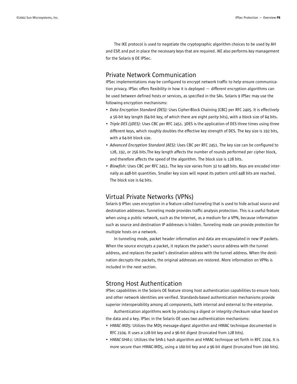The IKE protocol is used to negotiate the cryptographic algorithm choices to be used by AH and ESP, and put in place the necessary keys that are required. IKE also performs key management for the Solaris 9 OE IPSec.

## Private Network Communication

IPSec implementations may be configured to encrypt network traffic to help ensure communication privacy. IPSec offers flexibility in how it is deployed — different encryption algorithms can be used between defined hosts or services, as specified in the SAs. Solaris 9 IPSec may use the following encryption mechanisms:

- *Data Encryption Standard (DES):* Uses Cipher-Block Chaining (CBC) per RFC 2405. It is effectively a 56-bit key length (64-bit key, of which there are eight parity bits), with a block size of 64 bits.
- *Triple DES (3DES):* Uses CBC per RFC 2451. 3DES is the application of DES three times using three different keys, which roughly doubles the effective key strength of DES. The key size is 192 bits, with a 64-bit block size.
- *Advanced Encryption Standard (AES):* Uses CBC per RFC 2451. The key size can be configured to 128, 192, or 256 bits.The key length affects the number of rounds performed per cipher block, and therefore affects the speed of the algorithm. The block size is 128 bits.
- *Blowfish:* Uses CBC per RFC 2451. The key size varies from 32 to 448 bits. Keys are encoded internally as 448-bit quantities. Smaller key sizes will repeat its pattern until 448 bits are reached. The block size is 64 bits.

## Virtual Private Networks (VPNs)

Solaris 9 IPSec uses encryption in a feature called tunneling that is used to hide actual source and destination addresses. Tunneling mode provides traffic analysis protection. This is a useful feature when using a public network, such as the Internet, as a medium for a VPN, because information such as source and destination IP addresses is hidden. Tunneling mode can provide protection for multiple hosts on a network.

In tunneling mode, packet header information and data are encapsulated in new IP packets. When the source encrypts a packet, it replaces the packet's source address with the tunnel address, and replaces the packet's destination address with the tunnel address. When the destination decrypts the packets, the original addresses are restored. More information on VPNs is included in the next section.

## Strong Host Authentication

IPSec capabilities in the Solaris OE feature strong host authentication capabilities to ensure hosts and other network identities are verified. Standards-based authentication mechanisms provide superior interoperability among all components, both internal and external to the enterprise.

Authentication algorithms work by producing a digest or integrity checksum value based on the data and a key. IPSec in the Solaris OE uses two authentication mechanisms:

- *HMAC-MD5:* Utilizes the MD5 message-digest algorithm and HMAC technique documented in RFC 2104. It uses a 128-bit key and a 96-bit digest (truncated from 128 bits).
- *HMAC-SHA-1:* Utilizes the SHA-1 hash algorithm and HMAC technique set forth in RFC 2104. It is more secure than HMAC-MD5, using a 160-bit key and a 96-bit digest (truncated from 160 bits).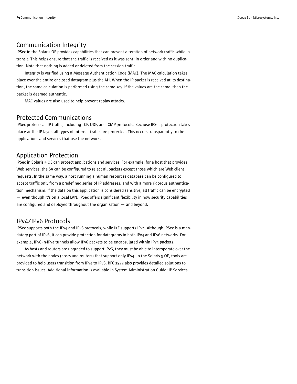## Communication Integrity

IPSec in the Solaris OE provides capabilities that can prevent alteration of network traffic while in transit. This helps ensure that the traffic is received as it was sent: in order and with no duplication. Note that nothing is added or deleted from the session traffic.

Integrity is verified using a Message Authentication Code (MAC). The MAC calculation takes place over the entire enclosed datagram plus the AH. When the IP packet is received at its destination, the same calculation is performed using the same key. If the values are the same, then the packet is deemed authentic.

MAC values are also used to help prevent replay attacks.

## Protected Communications

IPSec protects all IP traffic, including TCP, UDP, and ICMP protocols. Because IPSec protection takes place at the IP layer, all types of Internet traffic are protected. This occurs transparently to the applications and services that use the network.

## Application Protection

IPSec in Solaris 9 OE can protect applications and services. For example, for a host that provides Web services, the SA can be configured to reject all packets except those which are Web client requests. In the same way, a host running a human resources database can be configured to accept traffic only from a predefined series of IP addresses, and with a more rigorous authentication mechanism. If the data on this application is considered sensitive, all traffic can be encrypted — even though it's on a local LAN. IPSec offers significant flexibility in how security capabilities are configured and deployed throughout the organization — and beyond.

## IPv4/IPv6 Protocols

IPSec supports both the IPv4 and IPv6 protocols, while IKE supports IPv4. Although IPSec is a mandatory part of IPv6, it can provide protection for datagrams in both IPv4 and IPv6 networks. For example, IPv6-in-IPv4 tunnels allow IPv6 packets to be encapsulated within IPv4 packets.

As hosts and routers are upgraded to support IPv6, they must be able to interoperate over the network with the nodes (hosts and routers) that support only IPv4. In the Solaris 9 OE, tools are provided to help users transition from IPv4 to IPv6. RFC 1933 also provides detailed solutions to transition issues. Additional information is available in System Administration Guide: IP Services.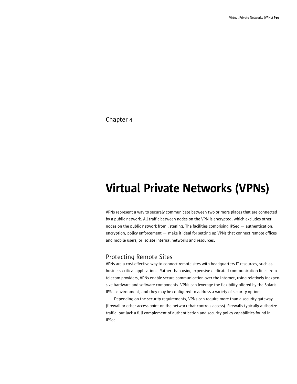# Virtual Private Networks (VPNs)

VPNs represent a way to securely communicate between two or more places that are connected by a public network. All traffic between nodes on the VPN is encrypted, which excludes other nodes on the public network from listening. The facilities comprising IPSec — authentication, encryption, policy enforcement — make it ideal for setting up VPNs that connect remote offices and mobile users, or isolate internal networks and resources.

### Protecting Remote Sites

VPNs are a cost-effective way to connect remote sites with headquarters IT resources, such as business-critical applications. Rather than using expensive dedicated communication lines from telecom providers, VPNs enable secure communication over the Internet, using relatively inexpensive hardware and software components. VPNs can leverage the flexibility offered by the Solaris IPSec environment, and they may be configured to address a variety of security options.

Depending on the security requirements, VPNs can require more than a security gateway (firewall or other access point on the network that controls access). Firewalls typically authorize traffic, but lack a full complement of authentication and security policy capabilities found in IPSec.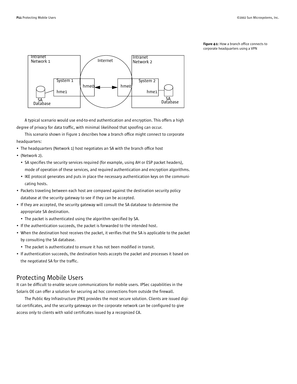#### Figure 4-1: How a branch office connects to corporate headquarters using a VPN



A typical scenario would use end-to-end authentication and encryption. This offers a high degree of privacy for data traffic, with minimal likelihood that spoofing can occur.

This scenario shown in Figure 1 describes how a branch office might connect to corporate headquarters:

- The headquarters (Network 1) host negotiates an SA with the branch office host
- (Network 2).
	- SA specifies the security services required (for example, using AH or ESP packet headers), mode of operation of these services, and required authentication and encryption algorithms.
	- IKE protocol generates and puts in place the necessary authentication keys on the communicating hosts.
- Packets traveling between each host are compared against the destination security policy database at the security gateway to see if they can be accepted.
- If they are accepted, the security gateway will consult the SA database to determine the appropriate SA destination.
	- The packet is authenticated using the algorithm specified by SA.
- If the authentication succeeds, the packet is forwarded to the intended host.
- When the destination host receives the packet, it verifies that the SA is applicable to the packet by consulting the SA database.
	- The packet is authenticated to ensure it has not been modified in transit.
- If authentication succeeds, the destination hosts accepts the packet and processes it based on the negotiated SA for the traffic.

## Protecting Mobile Users

It can be difficult to enable secure communications for mobile users. IPSec capabilities in the Solaris OE can offer a solution for securing ad hoc connections from outside the firewall.

The Public Key Infrastructure (PKI) provides the most secure solution. Clients are issued digital certificates, and the security gateways on the corporate network can be configured to give access only to clients with valid certificates issued by a recognized CA.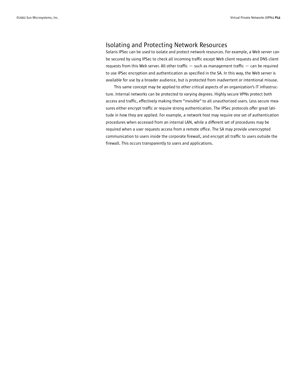## Isolating and Protecting Network Resources

Solaris IPSec can be used to isolate and protect network resources. For example, a Web server can be secured by using IPSec to check all incoming traffic except Web client requests and DNS client requests from this Web server. All other traffic — such as management traffic — can be required to use IPSec encryption and authentication as specified in the SA. In this way, the Web server is available for use by a broader audience, but is protected from inadvertent or intentional misuse.

This same concept may be applied to other critical aspects of an organization's IT infrastructure. Internal networks can be protected to varying degrees. Highly secure VPNs protect both access and traffic, effectively making them "invisible" to all unauthorized users. Less secure measures either encrypt traffic or require strong authentication. The IPSec protocols offer great latitude in how they are applied. For example, a network host may require one set of authentication procedures when accessed from an internal LAN, while a different set of procedures may be required when a user requests access from a remote office. The SA may provide unencrypted communication to users inside the corporate firewall, and encrypt all traffic to users outside the firewall. This occurs transparently to users and applications.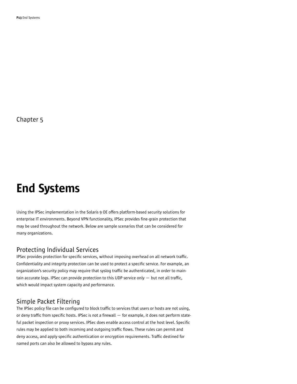# End Systems

Using the IPSec implementation in the Solaris 9 OE offers platform-based security solutions for enterprise IT environments. Beyond VPN functionality, IPSec provides fine-grain protection that may be used throughout the network. Below are sample scenarios that can be considered for many organizations.

### Protecting Individual Services

IPSec provides protection for specific services, without imposing overhead on all network traffic. Confidentiality and integrity protection can be used to protect a specific service. For example, an organization's security policy may require that syslog traffic be authenticated, in order to maintain accurate logs. IPSec can provide protection to this UDP service only — but not all traffic, which would impact system capacity and performance.

## Simple Packet Filtering

The IPSec policy file can be configured to block traffic to services that users or hosts are not using, or deny traffic from specific hosts. IPSec is not a firewall — for example, it does not perform stateful packet inspection or proxy services. IPSec does enable access control at the host level. Specific rules may be applied to both incoming and outgoing traffic flows. These rules can permit and deny access, and apply specific authentication or encryption requirements. Traffic destined for named ports can also be allowed to bypass any rules.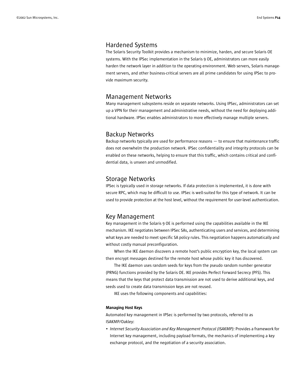## Hardened Systems

The Solaris Security Toolkit provides a mechanism to minimize, harden, and secure Solaris OE systems. With the IPSec implementation in the Solaris 9 OE, administrators can more easily harden the network layer in addition to the operating environment. Web servers, Solaris management servers, and other business-critical servers are all prime candidates for using IPSec to provide maximum security.

### Management Networks

Many management subsystems reside on separate networks. Using IPSec, administrators can set up a VPN for their management and administrative needs, without the need for deploying additional hardware. IPSec enables administrators to more effectively manage multiple servers.

## Backup Networks

Backup networks typically are used for performance reasons — to ensure that maintenance traffic does not overwhelm the production network. IPSec confidentiality and integrity protocols can be enabled on these networks, helping to ensure that this traffic, which contains critical and confidential data, is unseen and unmodified.

### Storage Networks

IPSec is typically used in storage networks. If data protection is implemented, it is done with secure RPC, which may be difficult to use. IPSec is well-suited for this type of network. It can be used to provide protection at the host level, without the requirement for user-level authentication.

### Key Management

Key management in the Solaris 9 OE is performed using the capabilities available in the IKE mechanism. IKE negotiates between IPSec SAs, authenticating users and services, and determining what keys are needed to meet specific SA policy rules. This negotiation happens automatically and without costly manual preconfiguration.

When the IKE daemon discovers a remote host's public encryption key, the local system can then encrypt messages destined for the remote host whose public key it has discovered.

The IKE daemon uses random seeds for keys from the pseudo random number generator (PRNG) functions provided by the Solaris OE. IKE provides Perfect Forward Secrecy (PFS). This means that the keys that protect data transmission are not used to derive additional keys, and seeds used to create data transmission keys are not reused.

IKE uses the following components and capabilities:

#### Managing Host Keys

Automated key management in IPSec is performed by two protocols, referred to as ISAKMP/Oakley:

• *Internet Security Association and Key Management Protocol (ISAKMP):* Provides a framework for Internet key management, including payload formats, the mechanics of implementing a key exchange protocol, and the negotiation of a security association.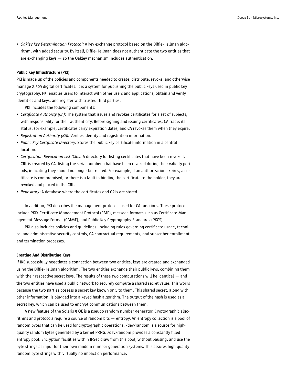• *Oakley Key Determination Protocol:* A key exchange protocol based on the Diffie-Hellman algorithm, with added security. By itself, Diffie-Hellman does not authenticate the two entities that are exchanging keys — so the Oakley mechanism includes authentication.

#### Public Key Infrastructure (PKI)

PKI is made up of the policies and components needed to create, distribute, revoke, and otherwise manage X.509 digital certificates. It is a system for publishing the public keys used in public key cryptography. PKI enables users to interact with other users and applications, obtain and verify identities and keys, and register with trusted third parties.

PKI includes the following components:

- *Certificate Authority (CA):* The system that issues and revokes certificates for a set of subjects, with responsibility for their authenticity. Before signing and issuing certificates, CA tracks its status. For example, certificates carry expiration dates, and CA revokes them when they expire.
- *Registration Authority (RA):* Verifies identity and registration information.
- *Public Key Certificate Directory:* Stores the public key certificate information in a central location.
- *Certification Revocation List (CRL):* A directory for listing certificates that have been revoked. CRL is created by CA, listing the serial numbers that have been revoked during their validity periods, indicating they should no longer be trusted. For example, if an authorization expires, a certificate is compromised, or there is a fault in binding the certificate to the holder, they are revoked and placed in the CRL.
- *Repository:* A database where the certificates and CRLs are stored.

In addition, PKI describes the management protocols used for CA functions. These protocols include PKIX Certificate Management Protocol (CMP), message formats such as Certificate Management Message Format (CMMF), and Public Key Cryptography Standards (PKCS).

PKI also includes policies and guidelines, including rules governing certificate usage, technical and administrative security controls, CA contractual requirements, and subscriber enrollment and termination processes.

#### Creating And Distributing Keys

If IKE successfully negotiates a connection between two entities, keys are created and exchanged using the Diffie-Hellman algorithm. The two entities exchange their public keys, combining them with their respective secret keys. The results of these two computations will be identical  $-$  and the two entities have used a public network to securely compute a shared secret value. This works because the two parties possess a secret key known only to them. This shared secret, along with other information, is plugged into a keyed hash algorithm. The output of the hash is used as a secret key, which can be used to encrypt communications between them.

A new feature of the Solaris 9 OE is a pseudo random number generator. Cryptographic algorithms and protocols require a source of random bits — entropy. An entropy collection is a pool of random bytes that can be used for cryptographic operations. /dev/random is a source for highquality random bytes generated by a kernel PRNG. /dev/random provides a constantly filled entropy pool. Encryption facilities within IPSec draw from this pool, without pausing, and use the byte strings as input for their own random number generation systems. This assures high-quality random byte strings with virtually no impact on performance.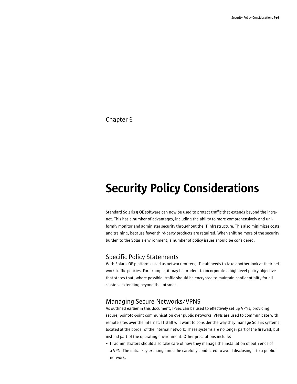# Security Policy Considerations

Standard Solaris 9 OE software can now be used to protect traffic that extends beyond the intranet. This has a number of advantages, including the ability to more comprehensively and uniformly monitor and administer security throughout the IT infrastructure. This also minimizes costs and training, because fewer third-party products are required. When shifting more of the security burden to the Solaris environment, a number of policy issues should be considered.

### Specific Policy Statements

With Solaris OE platforms used as network routers, IT staff needs to take another look at their network traffic policies. For example, it may be prudent to incorporate a high-level policy objective that states that, where possible, traffic should be encrypted to maintain confidentiality for all sessions extending beyond the intranet.

## Managing Secure Networks/VPNS

As outlined earlier in this document, IPSec can be used to effectively set up VPNs, providing secure, point-to-point communication over public networks. VPNs are used to communicate with remote sites over the Internet. IT staff will want to consider the way they manage Solaris systems located at the border of the internal network. These systems are no longer part of the firewall, but instead part of the operating environment. Other precautions include:

• IT administrators should also take care of how they manage the installation of both ends of a VPN. The initial key exchange must be carefully conducted to avoid disclosing it to a public network.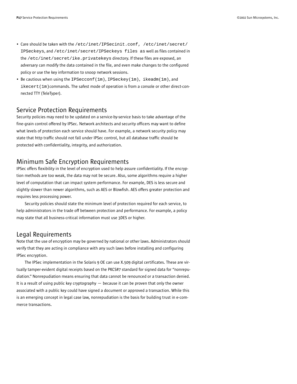- Care should be taken with the /etc/inet/IPSecinit.conf, /etc/inet/secret/ IPSeckeys, and /etc/inet/secret/IPSeckeys files as well as files contained in the /etc/inet/secret/ike.privatekeys directory. If these files are exposed, an adversary can modify the data contained in the file, and even make changes to the configured policy or use the key information to snoop network sessions.
- Be cautious when using the IPSecconf(1m), IPSeckey(1m), ikeadm(1m), and  $i$ kecert ( $1$ m) commands. The safest mode of operation is from a console or other direct-connected TTY (TeleTyper).

## Service Protection Requirements

Security policies may need to be updated on a service-by-service basis to take advantage of the fine-grain control offered by IPSec. Network architects and security officers may want to define what levels of protection each service should have. For example, a network security policy may state that http traffic should not fall under IPSec control, but all database traffic should be protected with confidentiality, integrity, and authorization.

## Minimum Safe Encryption Requirements

IPSec offers flexibility in the level of encryption used to help assure confidentiality. If the encryption methods are too weak, the data may not be secure. Also, some algorithms require a higher level of computation that can impact system performance. For example, DES is less secure and slightly slower than newer algorithms, such as AES or Blowfish. AES offers greater protection and requires less processing power.

Security policies should state the minimum level of protection required for each service, to help administrators in the trade off between protection and performance. For example, a policy may state that all business-critical information must use 3DES or higher.

## Legal Requirements

Note that the use of encryption may be governed by national or other laws. Administrators should verify that they are acting in compliance with any such laws before installing and configuring IPSec encryption.

The IPSec implementation in the Solaris 9 OE can use X.509 digital certificates. These are virtually tamper-evident digital receipts based on the PKCS#7 standard for signed data for "nonrepudiation." Nonrepudiation means ensuring that data cannot be renounced or a transaction denied. It is a result of using public key cryptography — because it can be proven that only the owner associated with a public key could have signed a document or approved a transaction. While this is an emerging concept in legal case law, nonrepudiation is the basis for building trust in e-commerce transactions.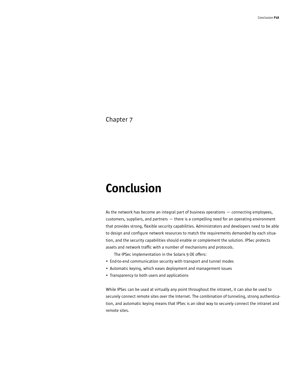# Conclusion

As the network has become an integral part of business operations — connecting employees, customers, suppliers, and partners — there is a compelling need for an operating environment that provides strong, flexible security capabilities. Administrators and developers need to be able to design and configure network resources to match the requirements demanded by each situation, and the security capabilities should enable or complement the solution. IPSec protects assets and network traffic with a number of mechanisms and protocols.

The IPSec implementation in the Solaris 9 OE offers:

- End-to-end communication security with transport and tunnel modes
- Automatic keying, which eases deployment and management issues
- Transparency to both users and applications

While IPSec can be used at virtually any point throughout the intranet, it can also be used to securely connect remote sites over the Internet. The combination of tunneling, strong authentication, and automatic keying means that IPSec is an ideal way to securely connect the intranet and remote sites.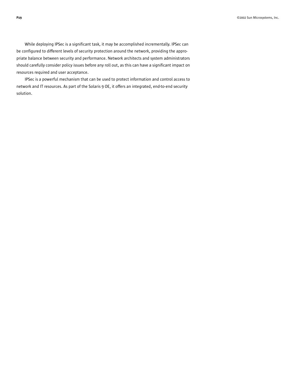While deploying IPSec is a significant task, it may be accomplished incrementally. IPSec can be configured to different levels of security protection around the network, providing the appropriate balance between security and performance. Network architects and system administrators should carefully consider policy issues before any roll out, as this can have a significant impact on resources required and user acceptance.

IPSec is a powerful mechanism that can be used to protect information and control access to network and IT resources. As part of the Solaris 9 OE, it offers an integrated, end-to-end security solution.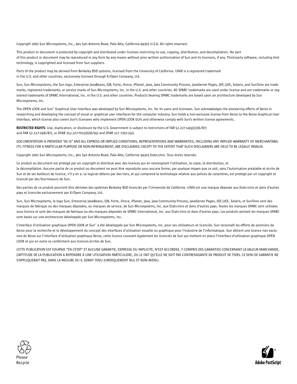Copyright 2002 Sun Microsystems, Inc., 901 San Antonio Road, Palo Alto, California 94303 U.S.A. All rights reserved.

This product or document is protected by copyright and distributed under licenses restricting its use, copying, distribution, and decompilation. No part of this product or document may be reproduced in any form by any means without prior written authorization of Sun and its licensors, if any. Third-party software, including font technology, is copyrighted and licensed from Sun suppliers.

Parts of the product may be derived from Berkeley BSD systems, licensed from the University of California. UNIX is a registered trademark in the U.S. and other countries, exclusively licensed through X/Open Company, Ltd.

Sun, Sun Microsystems, the Sun logo, Enterprise JavaBeans, EJB, Forte, iForce, iPlanet, Java, Java Community Process, JavaServer Pages, JSP, J2EE, Solaris, and SunTone are trademarks, registered trademarks, or service marks of Sun Microsystems, Inc. in the U.S. and other countries. All SPARC trademarks are used under license and are trademarks or registered trademarks of SPARC International, Inc. in the U.S. and other countries. Products bearing SPARC trademarks are based upon an architecture developed by Sun Microsystems, Inc.

The OPEN LOOK and Sun™ Graphical User Interface was developed by Sun Microsystems, Inc. for its users and licensees. Sun acknowledges the pioneering efforts of Xerox in researching and developing the concept of visual or graphical user interfaces for the computer industry. Sun holds a non-exclusive license from Xerox to the Xerox Graphical User Interface, which license also covers Sun's licensees who implement OPEN LOOK GUIs and otherwise comply with Sun's written license agreements.

RESTRICTED RIGHTS: Use, duplication, or disclosure by the U.S. Government is subject to restrictions of FAR 52.227-14(g)(2)(6/87) and FAR 52.227-19(6/87), or DFAR 252.227-7015(b)(6/95) and DFAR 227.7202-3(a).

DOCUMENTATION IS PROVIDED "AS IS" AND ALL EXPRESS OR IMPLIED CONDITIONS, REPRESENTATIONS AND WARRANTIES, INCLUDING ANY IMPLIED WARRANTY OF MERCHANTABIL-ITY, FITNESS FOR A PARTICULAR PURPOSE OR NON-INFRINGEMENT, ARE DISCLAIMED, EXCEPT TO THE EXTENT THAT SUCH DISCLAIMERS ARE HELD TO BE LEGALLY INVALID.

Copyright 2002 Sun Microsystems, Inc., 901 San Antonio Road, Palo Alto, Californie 94303 Etats-Unis. Tous droits réservés.

Ce produit ou document est protégé par un copyright et distribué avec des licences qui en restreignent l'utilisation, la copie, la distribution, et la décompilation. Aucune partie de ce produit ou document ne peut être reproduite sous aucune forme, par quelque moyen que ce soit, sans l'autorisation préalable et écrite de Sun et de ses bailleurs de licence, s'il y en a. Le logiciel détenu par des tiers, et qui comprend la technologie relative aux polices de caractères, est protégé par un copyright et licencié par des fournisseurs de Sun.

Des parties de ce produit pourront être dérivées des systèmes Berkeley BSD licenciés par l'Université de Californie. UNIX est une marque déposée aux Etats-Unis et dans d'autres pays et licenciée exclusivement par X/Open Company, Ltd.

Sun, Sun Microsystems, le logo Sun, Enterprise JavaBeans, EJB, Forte, iForce, iPlanet, Java, Java Community Process, JavaServer Pages, JSP, J2EE, Solaris, et SunTone sont des marques de fabrique ou des marques déposées, ou marques de service, de Sun Microsystems, Inc. aux Etats-Unis et dans d'autres pays. Toutes les marques SPARC sont utilisées sous licence et sont des marques de fabrique ou des marques déposées de SPARC International, Inc. aux Etats-Unis et dans d'autres pays. Les produits portant les marques SPARC sont basés sur une architecture développée par Sun Microsystems, Inc.

L'interface d'utilisation graphique OPEN LOOK et Sun™ a été développée par Sun Microsystems, Inc. pour ses utilisateurs et licenciés. Sun reconnaît les efforts de pionniers de Xerox pour la recherche et le développement du concept des interfaces d'utilisation visuelle ou graphique pour l'industrie de l'informatique. Sun détient une licence non exclusive de Xerox sur l'interface d'utilisation graphique Xerox, cette licence couvrant également les licenciés de Sun qui mettent en place l'interface d'utilisation graphique OPEN LOOK et qui en outre se conforment aux licences écrites de Sun.

CETTE PUBLICATION EST FOURNIE "EN L'ETAT" ET AUCUNE GARANTIE, EXPRESSE OU IMPLICITE, N'EST ACCORDEE, Y COMPRIS DES GARANTIES CONCERNANT LA VALEUR MARCHANDE, L'APTITUDE DE LA PUBLICATION A REPONDRE A UNE UTILISATION PARTICULIERE, OU LE FAIT QU'ELLE NE SOIT PAS CONTREFAISANTE DE PRODUIT DE TIERS. CE DENI DE GARANTIE NE S'APPLIQUERAIT PAS, DANS LA MESURE OU IL SERAIT TENU JURIDIQUEMENT NUL ET NON AVENU.